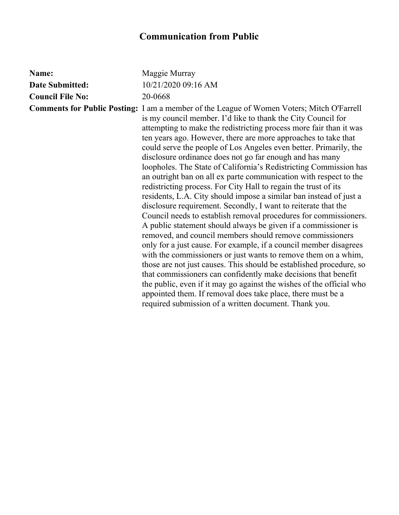## **Communication from Public**

| Name:                   | Maggie Murray                                                                                                                                                                                                                                                                                                                                                                                                                                                                                                                                                                                                                                                                                                                                                                                                                                                                                                                                                                                                                                                                                                                                                                                                                                                                                                                                                                                                                                                                    |
|-------------------------|----------------------------------------------------------------------------------------------------------------------------------------------------------------------------------------------------------------------------------------------------------------------------------------------------------------------------------------------------------------------------------------------------------------------------------------------------------------------------------------------------------------------------------------------------------------------------------------------------------------------------------------------------------------------------------------------------------------------------------------------------------------------------------------------------------------------------------------------------------------------------------------------------------------------------------------------------------------------------------------------------------------------------------------------------------------------------------------------------------------------------------------------------------------------------------------------------------------------------------------------------------------------------------------------------------------------------------------------------------------------------------------------------------------------------------------------------------------------------------|
| Date Submitted:         | 10/21/2020 09:16 AM                                                                                                                                                                                                                                                                                                                                                                                                                                                                                                                                                                                                                                                                                                                                                                                                                                                                                                                                                                                                                                                                                                                                                                                                                                                                                                                                                                                                                                                              |
| <b>Council File No:</b> | 20-0668                                                                                                                                                                                                                                                                                                                                                                                                                                                                                                                                                                                                                                                                                                                                                                                                                                                                                                                                                                                                                                                                                                                                                                                                                                                                                                                                                                                                                                                                          |
|                         | <b>Comments for Public Posting:</b> I am a member of the League of Women Voters; Mitch O'Farrell<br>is my council member. I'd like to thank the City Council for<br>attempting to make the redistricting process more fair than it was<br>ten years ago. However, there are more approaches to take that<br>could serve the people of Los Angeles even better. Primarily, the<br>disclosure ordinance does not go far enough and has many<br>loopholes. The State of California's Redistricting Commission has<br>an outright ban on all ex parte communication with respect to the<br>redistricting process. For City Hall to regain the trust of its<br>residents, L.A. City should impose a similar ban instead of just a<br>disclosure requirement. Secondly, I want to reiterate that the<br>Council needs to establish removal procedures for commissioners.<br>A public statement should always be given if a commissioner is<br>removed, and council members should remove commissioners<br>only for a just cause. For example, if a council member disagrees<br>with the commissioners or just wants to remove them on a whim,<br>those are not just causes. This should be established procedure, so<br>that commissioners can confidently make decisions that benefit<br>the public, even if it may go against the wishes of the official who<br>appointed them. If removal does take place, there must be a<br>required submission of a written document. Thank you. |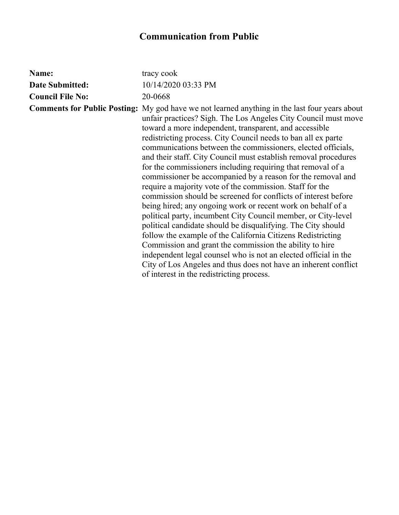## **Communication from Public**

| Name:                   | tracy cook                                                                                                                                                                                                                                                                                                                                                                                                                                                                                                                                                                                                                                                                                                                                                                                                                                                                                                                                                                                                                                                                                                                                                                                                    |
|-------------------------|---------------------------------------------------------------------------------------------------------------------------------------------------------------------------------------------------------------------------------------------------------------------------------------------------------------------------------------------------------------------------------------------------------------------------------------------------------------------------------------------------------------------------------------------------------------------------------------------------------------------------------------------------------------------------------------------------------------------------------------------------------------------------------------------------------------------------------------------------------------------------------------------------------------------------------------------------------------------------------------------------------------------------------------------------------------------------------------------------------------------------------------------------------------------------------------------------------------|
| <b>Date Submitted:</b>  | 10/14/2020 03:33 PM                                                                                                                                                                                                                                                                                                                                                                                                                                                                                                                                                                                                                                                                                                                                                                                                                                                                                                                                                                                                                                                                                                                                                                                           |
| <b>Council File No:</b> | 20-0668                                                                                                                                                                                                                                                                                                                                                                                                                                                                                                                                                                                                                                                                                                                                                                                                                                                                                                                                                                                                                                                                                                                                                                                                       |
|                         | <b>Comments for Public Posting:</b> My god have we not learned anything in the last four years about<br>unfair practices? Sigh. The Los Angeles City Council must move<br>toward a more independent, transparent, and accessible<br>redistricting process. City Council needs to ban all ex parte<br>communications between the commissioners, elected officials,<br>and their staff. City Council must establish removal procedures<br>for the commissioners including requiring that removal of a<br>commissioner be accompanied by a reason for the removal and<br>require a majority vote of the commission. Staff for the<br>commission should be screened for conflicts of interest before<br>being hired; any ongoing work or recent work on behalf of a<br>political party, incumbent City Council member, or City-level<br>political candidate should be disqualifying. The City should<br>follow the example of the California Citizens Redistricting<br>Commission and grant the commission the ability to hire<br>independent legal counsel who is not an elected official in the<br>City of Los Angeles and thus does not have an inherent conflict<br>of interest in the redistricting process. |